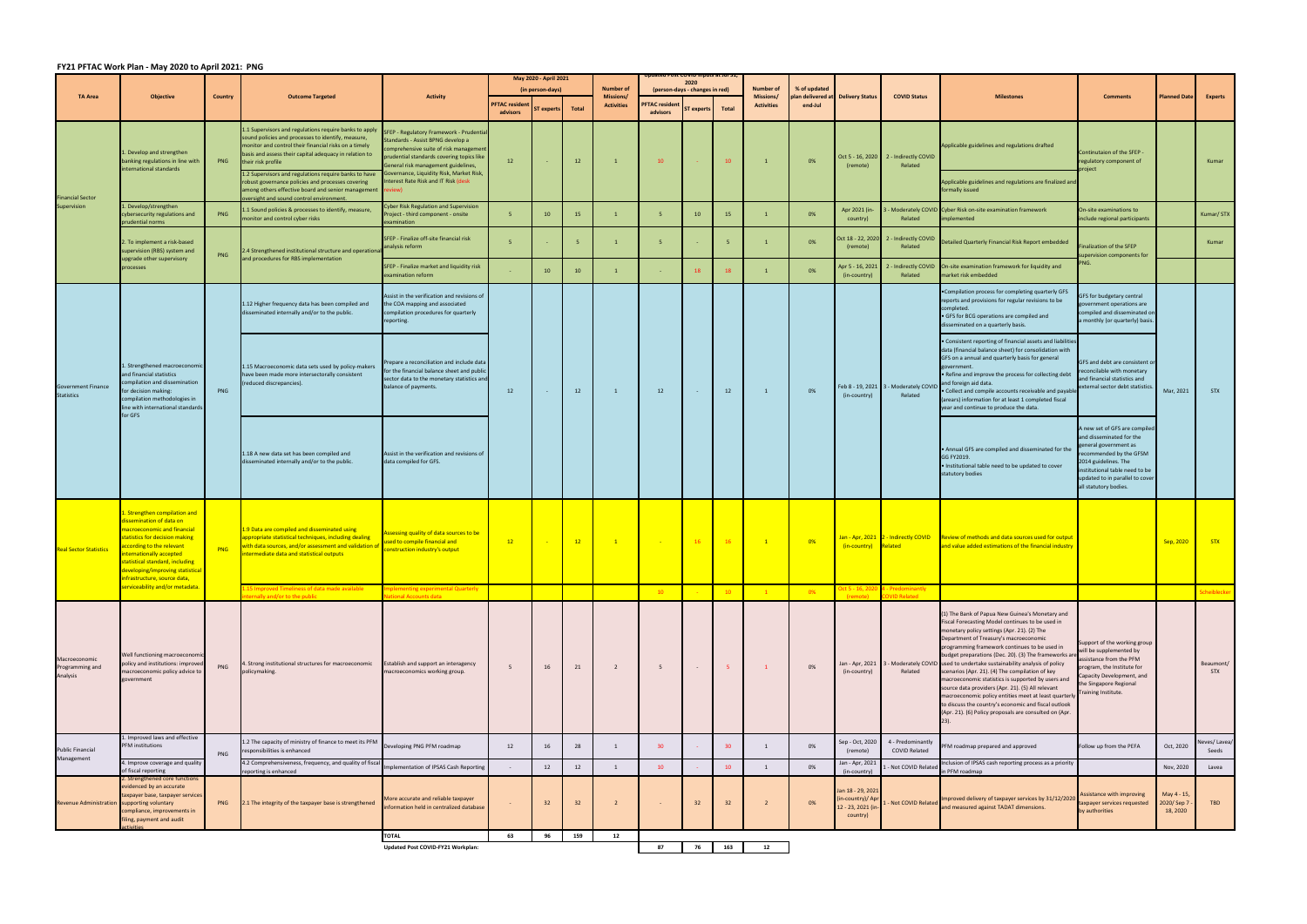## **FY21 PFTAC Work Plan ‐ May 2020 to April 2021: PNG**

| <b>TA Area</b>                                 | <b>Objective</b>                                                                                                                                                                                                                                                                                                  | <b>Country</b> | <b>Outcome Targeted</b>                                                                                                                                                                                                                                                                                                                                                                                                                                                       | <b>Activity</b>                                                                                                                                                                                                                                                                               | May 2020 - April 2021            |                |              |                                      | ieu rosi COVID Ilipuis ai Jul<br>2020 |                   |                        |                   | % of updated<br>plan delivered at Delivery Status |                                                                       |                                                           | <b>Milestones</b>                                                                                                                                                                                                                                                                                                                                                                                                                                                                                                                                                                                                                                                                                                           |                                                                                                                                                                                                                                     | lanned Date                                       | <b>Experts</b>          |
|------------------------------------------------|-------------------------------------------------------------------------------------------------------------------------------------------------------------------------------------------------------------------------------------------------------------------------------------------------------------------|----------------|-------------------------------------------------------------------------------------------------------------------------------------------------------------------------------------------------------------------------------------------------------------------------------------------------------------------------------------------------------------------------------------------------------------------------------------------------------------------------------|-----------------------------------------------------------------------------------------------------------------------------------------------------------------------------------------------------------------------------------------------------------------------------------------------|----------------------------------|----------------|--------------|--------------------------------------|---------------------------------------|-------------------|------------------------|-------------------|---------------------------------------------------|-----------------------------------------------------------------------|-----------------------------------------------------------|-----------------------------------------------------------------------------------------------------------------------------------------------------------------------------------------------------------------------------------------------------------------------------------------------------------------------------------------------------------------------------------------------------------------------------------------------------------------------------------------------------------------------------------------------------------------------------------------------------------------------------------------------------------------------------------------------------------------------------|-------------------------------------------------------------------------------------------------------------------------------------------------------------------------------------------------------------------------------------|---------------------------------------------------|-------------------------|
|                                                |                                                                                                                                                                                                                                                                                                                   |                |                                                                                                                                                                                                                                                                                                                                                                                                                                                                               |                                                                                                                                                                                                                                                                                               | (in person-days)                 |                |              | <b>Number of</b><br><b>Missions/</b> | (person-days - changes in red)        |                   | Number of<br>Missions/ |                   |                                                   |                                                                       | <b>COVID Status</b>                                       |                                                                                                                                                                                                                                                                                                                                                                                                                                                                                                                                                                                                                                                                                                                             | <b>Comments</b>                                                                                                                                                                                                                     |                                                   |                         |
|                                                |                                                                                                                                                                                                                                                                                                                   |                |                                                                                                                                                                                                                                                                                                                                                                                                                                                                               |                                                                                                                                                                                                                                                                                               | <b>PFTAC</b> residen<br>advisors | ST experts     | <b>Total</b> | <b>Activities</b>                    | <b>PFTAC</b> resident<br>advisors     | <b>ST</b> experts | <b>Total</b>           | <b>Activities</b> | end-Jul                                           |                                                                       |                                                           |                                                                                                                                                                                                                                                                                                                                                                                                                                                                                                                                                                                                                                                                                                                             |                                                                                                                                                                                                                                     |                                                   |                         |
| <b>Financial Sector</b><br>Supervision         | Develop and strengthen<br>banking regulations in line with<br>nternational standards                                                                                                                                                                                                                              | PNG            | 1.1 Supervisors and regulations require banks to apply<br>sound policies and processes to identify, measure,<br>monitor and control their financial risks on a timely<br>basis and assess their capital adequacy in relation to<br>their risk profile<br>1.2 Supervisors and regulations require banks to have<br>robust governance policies and processes covering<br>among others effective board and senior management review)<br>oversight and sound control environment. | SFEP - Regulatory Framework - Prudential<br>Standards - Assist BPNG develop a<br>comprehensive suite of risk manageme<br>prudential standards covering topics like<br>General risk management guidelines,<br>Governance, Liquidity Risk, Market Risk,<br>Interest Rate Risk and IT Risk (desk | 12                               |                | 12           | $\overline{1}$                       | 10                                    |                   | 10 <sup>°</sup>        | $\overline{1}$    | 0%                                                | (remote)                                                              | Oct 5 - 16, 2020 2 - Indirectly COVID<br>Related          | Applicable guidelines and regulations drafted<br>Applicable guidelines and regulations are finalized and<br>formally issued                                                                                                                                                                                                                                                                                                                                                                                                                                                                                                                                                                                                 | Continutaion of the SFEP -<br>regulatory component of<br>roject                                                                                                                                                                     |                                                   | Kumar                   |
|                                                | 1. Develop/strengthen<br>ybersecurity regulations and                                                                                                                                                                                                                                                             | PNG            | 1.1 Sound policies & processes to identify, measure,<br>monitor and control cyber risks                                                                                                                                                                                                                                                                                                                                                                                       | <b>Cyber Risk Regulation and Supervision</b><br>Project - third component - onsite                                                                                                                                                                                                            | -5                               | 10             | 15           |                                      | 5                                     | 10 <sup>°</sup>   | 15                     | 1                 | 0%                                                | Apr 2021 (in-<br>country)                                             | Related                                                   | Moderately COVID Cyber Risk on-site examination framework<br>implemented                                                                                                                                                                                                                                                                                                                                                                                                                                                                                                                                                                                                                                                    | On-site examinations to<br>include regional participants                                                                                                                                                                            |                                                   | Kumar/STX               |
|                                                | rudential norms<br>. To implement a risk-based<br>supervision (RBS) system and<br>upgrade other supervisory<br>processes                                                                                                                                                                                          | PNG            | 2.4 Strengthened institutional structure and operational<br>and procedures for RBS implementation                                                                                                                                                                                                                                                                                                                                                                             | examination<br>SFEP - Finalize off-site financial risk<br>analysis reform                                                                                                                                                                                                                     |                                  |                |              | $\overline{1}$                       | 5                                     |                   |                        | $\overline{1}$    | 0%                                                | Oct 18 - 22, 2020<br>(remote)                                         | 2 - Indirectly COVID<br>Related                           | Detailed Quarterly Financial Risk Report embedded                                                                                                                                                                                                                                                                                                                                                                                                                                                                                                                                                                                                                                                                           | inalization of the SFEP<br>upervision components for                                                                                                                                                                                |                                                   | Kumar                   |
|                                                |                                                                                                                                                                                                                                                                                                                   |                |                                                                                                                                                                                                                                                                                                                                                                                                                                                                               | SFEP - Finalize market and liquidity risk<br>examination reform                                                                                                                                                                                                                               |                                  | 10             | 10           |                                      |                                       |                   | 18                     | $\blacksquare$    | 0%                                                | Apr 5 - 16, 2021<br>(in-country)                                      | Related                                                   | 2 - Indirectly COVID On-site examination framework for liquidity and<br>market risk embedded                                                                                                                                                                                                                                                                                                                                                                                                                                                                                                                                                                                                                                |                                                                                                                                                                                                                                     |                                                   |                         |
| <b>Government Finance</b><br><b>Statistics</b> | 1. Strengthened macroeconomic<br>and financial statistics<br>ompilation and dissemination<br>or decision making:<br>compilation methodologies in<br>line with international standards<br>for GFS                                                                                                                  | PNG            | 1.12 Higher frequency data has been compiled and<br>disseminated internally and/or to the public.                                                                                                                                                                                                                                                                                                                                                                             | Assist in the verification and revisions of<br>the COA mapping and associated<br>compilation procedures for quarterly<br>reporting.                                                                                                                                                           | 12                               | $\sim$         | 12           | 1                                    | 12                                    |                   | 12                     | $\overline{1}$    | 0%                                                | (in-country)                                                          | Feb 8 - 19, 2021 3 - Moderately COVID<br>Related          | . Compilation process for completing quarterly GFS<br>reports and provisions for regular revisions to be<br>completed.<br>• GFS for BCG operations are compiled and<br>disseminated on a quarterly basis.                                                                                                                                                                                                                                                                                                                                                                                                                                                                                                                   | GFS for budgetary central<br>government operations are<br>compiled and disseminated on<br>a monthly (or quarterly) basis.                                                                                                           | Mar, 2021                                         | <b>STX</b>              |
|                                                |                                                                                                                                                                                                                                                                                                                   |                | 1.15 Macroeconomic data sets used by policy-makers<br>have been made more intersectorally consistent<br>(reduced discrepancies).                                                                                                                                                                                                                                                                                                                                              | Prepare a reconciliation and include data<br>for the financial balance sheet and public<br>sector data to the monetary statistics and<br>balance of payments.                                                                                                                                 |                                  |                |              |                                      |                                       |                   |                        |                   |                                                   |                                                                       |                                                           | • Consistent reporting of financial assets and liabilities<br>data (financial balance sheet) for consolidation with<br>GFS on a annual and quarterly basis for general<br>government.<br>. Refine and improve the process for collecting debt<br>and foreign aid data.<br>· Collect and compile accounts receivable and payable<br>(arears) information for at least 1 completed fiscal<br>year and continue to produce the data.                                                                                                                                                                                                                                                                                           | GFS and debt are consistent or<br>econcilable with monetary<br>and financial statistics and<br>external sector debt statistics.                                                                                                     |                                                   |                         |
|                                                |                                                                                                                                                                                                                                                                                                                   |                | 1.18 A new data set has been compiled and<br>disseminated internally and/or to the public.                                                                                                                                                                                                                                                                                                                                                                                    | Assist in the verification and revisions of<br>data compiled for GFS.                                                                                                                                                                                                                         |                                  |                |              |                                      |                                       |                   |                        |                   |                                                   |                                                                       |                                                           | . Annual GFS are compiled and disseminated for the<br>GG FY2019.<br>Institutional table need to be updated to cover<br>statutory bodies                                                                                                                                                                                                                                                                                                                                                                                                                                                                                                                                                                                     | A new set of GFS are compiled<br>and disseminated for the<br>general government as<br>recommended by the GFSM<br>2014 guidelines. The<br>institutional table need to be<br>updated to in parallel to cover<br>all statutory bodies. |                                                   |                         |
| <b>Real Sector Statistics</b>                  | . Strengthen compilation and<br>ssemination of data on<br>nacroeconomic and financial<br>tatistics for decision making<br>ccording to the relevant<br>nternationally accepted<br>atistical standard, including<br>eveloping/improving statistica<br>nfrastructure, source data,<br>erviceability and/or metadata. | PNG            | 1.9 Data are compiled and disseminated using<br>appropriate statistical techniques, including dealing<br>with data sources, and/or assessment and validation<br>intermediate data and statistical outputs                                                                                                                                                                                                                                                                     | Assessing quality of data sources to be<br>sed to compile financial and<br>construction industry's output                                                                                                                                                                                     | 12                               | $\sim 10^{-1}$ | 12           | $\mathbf{1}$                         | <b>Contract</b>                       | 16                | <b>16</b>              | $\mathbf{1}$      | $0\%$                                             | (in-country)                                                          | Jan - Apr, 2021 2 - Indirectly COVID<br>Related           | Review of methods and data sources used for output<br>and value added estimations of the financial industry                                                                                                                                                                                                                                                                                                                                                                                                                                                                                                                                                                                                                 |                                                                                                                                                                                                                                     | Sep, 2020                                         | <b>STX</b>              |
|                                                |                                                                                                                                                                                                                                                                                                                   |                | 15 Improved Timeliness of data made available<br>ernally and/or to the public                                                                                                                                                                                                                                                                                                                                                                                                 | plementing experimental Quarterly<br>tional Accounts data                                                                                                                                                                                                                                     |                                  |                |              |                                      | 10                                    |                   | 10 <sup>°</sup>        |                   | 0%                                                | (remote)                                                              | 0ct 5 - 16, 2020 4 - Predominantly<br><b>OVID Related</b> |                                                                                                                                                                                                                                                                                                                                                                                                                                                                                                                                                                                                                                                                                                                             |                                                                                                                                                                                                                                     |                                                   | Scheiblecker            |
| Macroeconomic<br>Programming and<br>Analysis   | Well functioning macroeconomi<br>oolicy and institutions: improved<br>macroeconomic policy advice to<br>overnment                                                                                                                                                                                                 | PNG            | 4. Strong institutional structures for macroeconomic<br>policymaking.                                                                                                                                                                                                                                                                                                                                                                                                         | Establish and support an interagency<br>macroeconomics working group.                                                                                                                                                                                                                         | - 5                              | 16             | 21           | $\overline{2}$                       | 5                                     |                   | -5                     | $\mathbf{1}$      | 0%                                                | Jan - Apr, 2021<br>(in-country)                                       | Related                                                   | (1) The Bank of Papua New Guinea's Monetary and<br>Fiscal Forecasting Model continues to be used in<br>monetary policy settings (Apr. 21). (2) The<br>Department of Treasury's macroeconomic<br>programming framework continues to be used in<br>budget preparations (Dec. 20). (3) The frameworks are<br>3 - Moderately COVID used to undertake sustainability analysis of policy<br>scenarios (Apr. 21). (4) The compilation of key<br>macroeconomic statistics is supported by users and<br>source data providers (Apr. 21). (5) All relevant<br>macroeconomic policy entities meet at least quarterly<br>to discuss the country's economic and fiscal outlook<br>(Apr. 21). (6) Policy proposals are consulted on (Apr. | Support of the working group<br>will be supplemented by<br>assistance from the PFM<br>program, the Institute for<br>Capacity Development, and<br>the Singapore Regional<br>Training Institute.                                      |                                                   | Beaumont/<br><b>STX</b> |
| <b>Public Financial</b><br>Management          | Improved laws and effective<br>PFM institutions                                                                                                                                                                                                                                                                   | PNG            | 1.2 The capacity of ministry of finance to meet its PFM<br>responsibilities is enhanced                                                                                                                                                                                                                                                                                                                                                                                       | Developing PNG PFM roadmap                                                                                                                                                                                                                                                                    | 12                               | 16             | 28           | 1                                    | 30 <sup>°</sup>                       |                   | 30 <sup>°</sup>        | 1                 | 0%                                                | Sep - Oct, 2020<br>(remote)                                           | 4 - Predominantly<br>COVID Related                        | PFM roadmap prepared and approved                                                                                                                                                                                                                                                                                                                                                                                                                                                                                                                                                                                                                                                                                           | Follow up from the PEFA                                                                                                                                                                                                             | Oct, 2020                                         | leves/Lavea/<br>Seeds   |
|                                                | 4. Improve coverage and quality<br>of fiscal reporting                                                                                                                                                                                                                                                            |                | 4.2 Comprehensiveness, frequency, and quality of fiscal<br>reporting is enhanced                                                                                                                                                                                                                                                                                                                                                                                              | Implementation of IPSAS Cash Reporting                                                                                                                                                                                                                                                        |                                  | 12             | 12           |                                      | 10                                    |                   | 10                     | $\overline{1}$    | 0%                                                | Jan - Apr, 202<br>(in-country)                                        | - Not COVID Related                                       | Inclusion of IPSAS cash reporting process as a priority<br>in PFM roadmap                                                                                                                                                                                                                                                                                                                                                                                                                                                                                                                                                                                                                                                   |                                                                                                                                                                                                                                     | Nov, 2020                                         | Lavea                   |
| Revenue Administration supporting voluntary    | . Strengthened core functions<br>videnced by an accurate<br>taxpayer base, taxpayer services<br>compliance, improvements in<br>filing, payment and audit                                                                                                                                                          | PNG            | 2.1 The integrity of the taxpayer base is strengthened                                                                                                                                                                                                                                                                                                                                                                                                                        | More accurate and reliable taxpayer<br>information held in centralized database                                                                                                                                                                                                               |                                  | 32             | 32           |                                      |                                       | 32                | 32                     | $\overline{2}$    | 0%                                                | Jan 18 - 29, 202:<br>in-country)/ Ap<br>12 - 23, 2021 (ii<br>country) | - Not COVID Related                                       | Improved delivery of taxpayer services by 31/12/2020<br>and measured against TADAT dimensions.                                                                                                                                                                                                                                                                                                                                                                                                                                                                                                                                                                                                                              | Assistance with improving<br>axpayer services requested<br>by authorities                                                                                                                                                           | May 4 - 15<br>2020/Sep <mark>7</mark><br>18, 2020 | TBD                     |
|                                                |                                                                                                                                                                                                                                                                                                                   |                |                                                                                                                                                                                                                                                                                                                                                                                                                                                                               | <b>TOTAL</b>                                                                                                                                                                                                                                                                                  | 63                               | 96             | 159          | 12                                   |                                       |                   |                        |                   |                                                   |                                                                       |                                                           |                                                                                                                                                                                                                                                                                                                                                                                                                                                                                                                                                                                                                                                                                                                             |                                                                                                                                                                                                                                     |                                                   |                         |
|                                                |                                                                                                                                                                                                                                                                                                                   |                |                                                                                                                                                                                                                                                                                                                                                                                                                                                                               | Updated Post COVID-FY21 Workplan:                                                                                                                                                                                                                                                             |                                  |                |              |                                      | 87                                    | 76                | 163                    | 12                |                                                   |                                                                       |                                                           |                                                                                                                                                                                                                                                                                                                                                                                                                                                                                                                                                                                                                                                                                                                             |                                                                                                                                                                                                                                     |                                                   |                         |